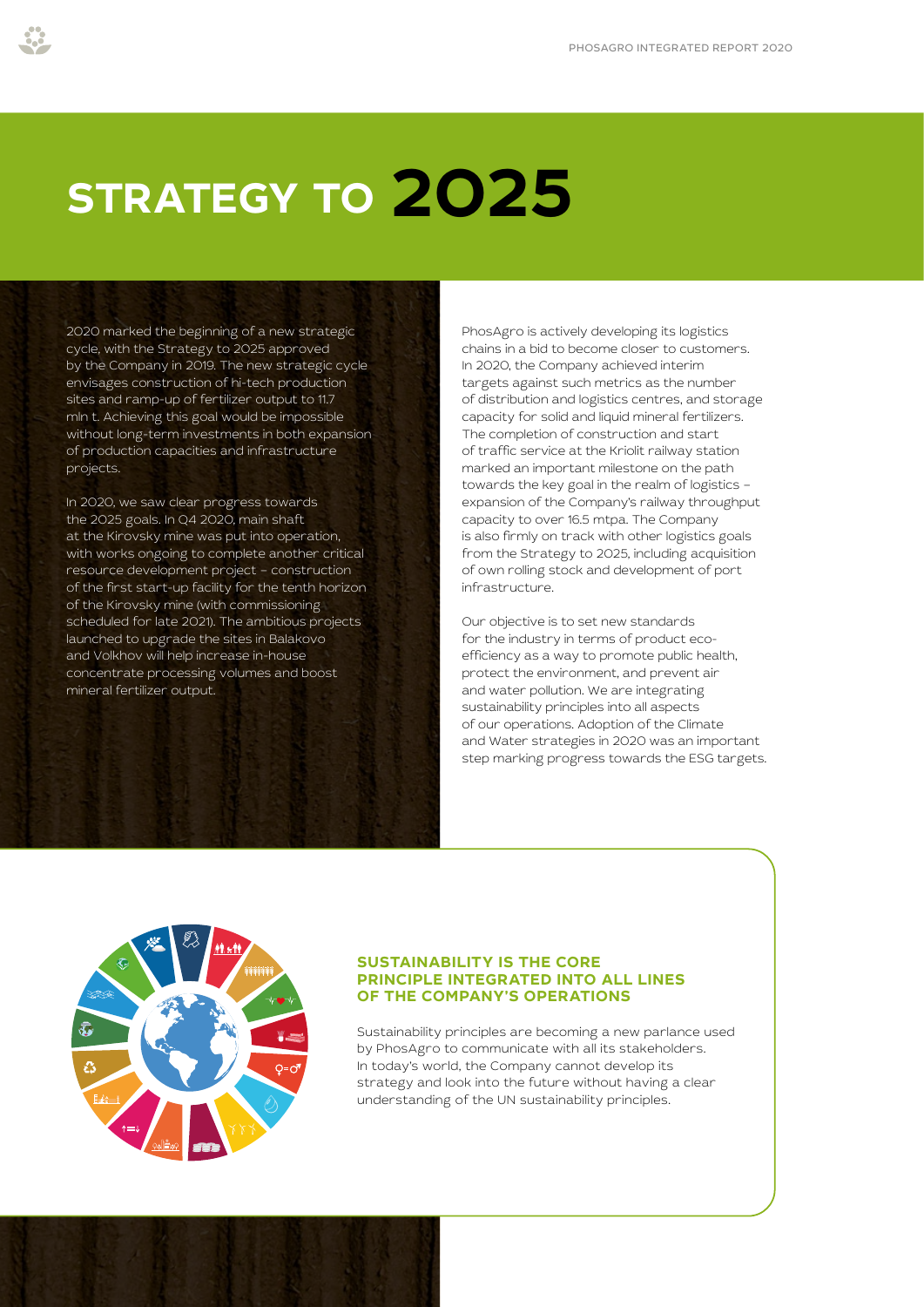# **STRATEGY TO 2025**

2020 marked the beginning of a new strategic cycle, with the Strategy to 2025 approved by the Company in 2019. The new strategic cycle envisages construction of hi-tech production sites and ramp-up of fertilizer output to 11.7 mln t. Achieving this goal would be impossible without long-term investments in both expansion of production capacities and infrastructure projects.

In 2020, we saw clear progress towards the 2025 goals. In Q4 2020, main shaft at the Kirovsky mine was put into operation, with works ongoing to complete another critical resource development project – construction of the first start-up facility for the tenth horizon of the Kirovsky mine (with commissioning scheduled for late 2021). The ambitious projects launched to upgrade the sites in Balakovo and Volkhov will help increase in-house concentrate processing volumes and boost mineral fertilizer output.

PhosAgro is actively developing its logistics chains in a bid to become closer to customers. In 2020, the Company achieved interim targets against such metrics as the number of distribution and logistics centres, and storage capacity for solid and liquid mineral fertilizers. The completion of construction and start of traffic service at the Kriolit railway station marked an important milestone on the path towards the key goal in the realm of logistics – expansion of the Company's railway throughput capacity to over 16.5 mtpa. The Company is also firmly on track with other logistics goals from the Strategy to 2025, including acquisition of own rolling stock and development of port infrastructure.

Our objective is to set new standards for the industry in terms of product ecoefficiency as a way to promote public health, protect the environment, and prevent air and water pollution. We are integrating sustainability principles into all aspects of our operations. Adoption of the Climate and Water strategies in 2020 was an important step marking progress towards the ESG targets.



#### **SUSTAINABILITY IS THE CORE PRINCIPLE INTEGRATED INTO ALL LINES OF THE COMPANY'S OPERATIONS**

Sustainability principles are becoming a new parlance used by PhosAgro to communicate with all its stakeholders. In today's world, the Company cannot develop its strategy and look into the future without having a clear understanding of the UN sustainability principles.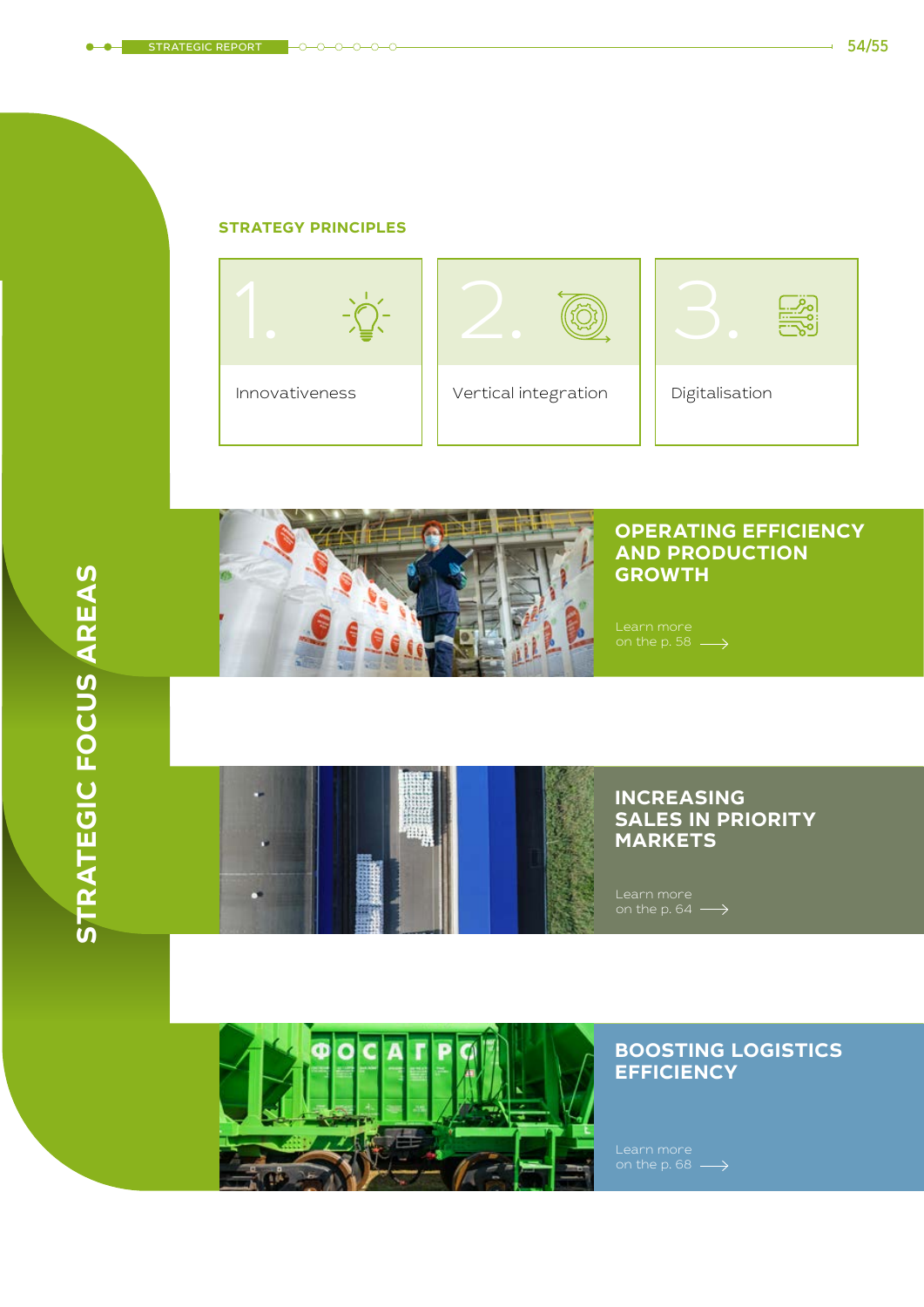#### **STRATEGY PRINCIPLES**





### **OPERATING EFFICIENCY AND PRODUCTION GROWTH**

## **INCREASING SALES IN PRIORITY MARKETS**

[Learn more](#page--1-0)  on the p. 64



## **BOOSTING LOGISTICS EFFICIENCY**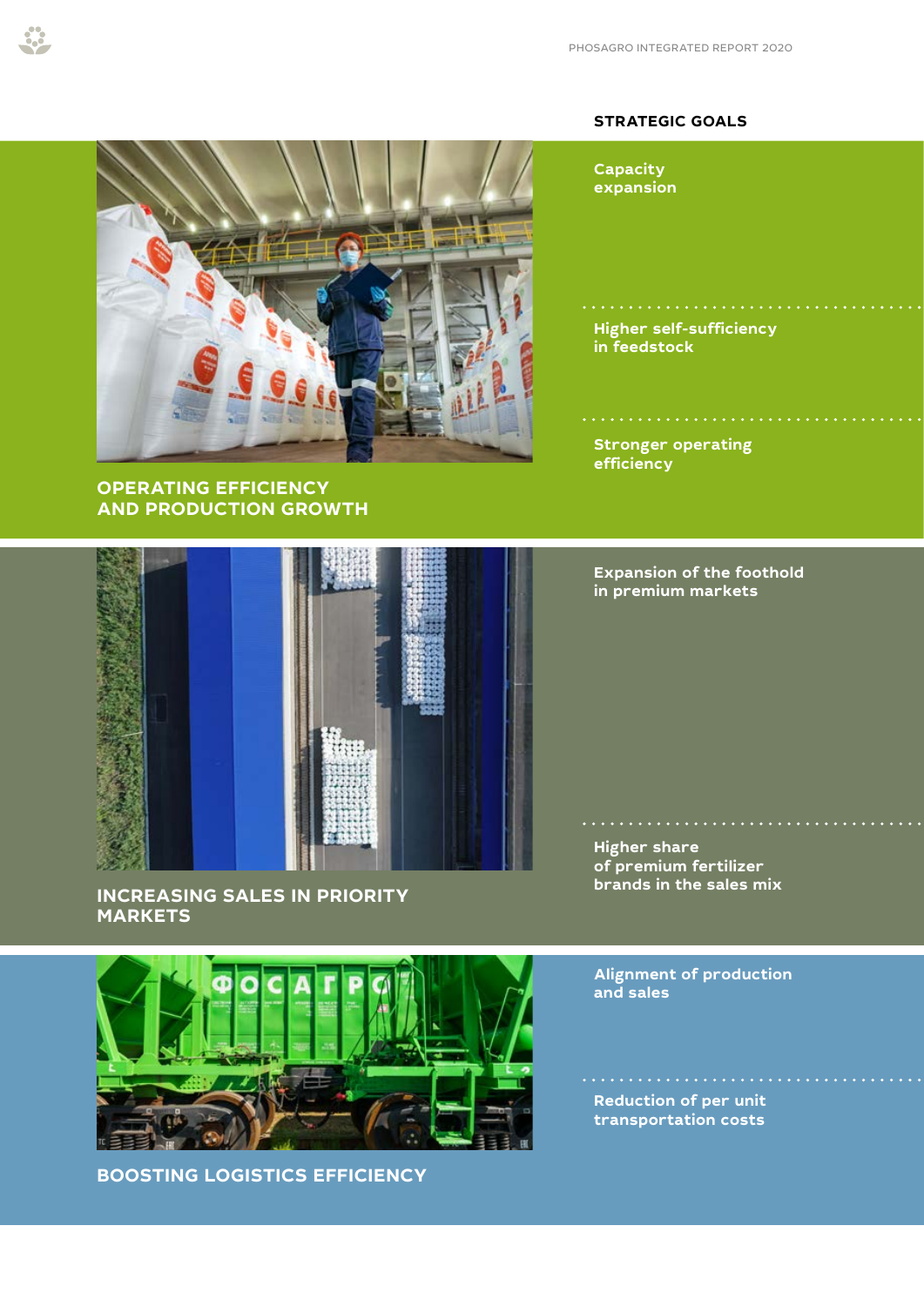#### **STRATEGIC GOALS**



#### **OPERATING EFFICIENCY AND PRODUCTION GROWTH**

**Capacity expansion**

**Higher self-sufficiency in feedstock**

. . . . . . . . . . . . . .

**Stronger operating efficiency**

**Expansion of the foothold in premium markets**

**Higher share of premium fertilizer brands in the sales mix**

**Alignment of production and sales**

**Reduction of per unit transportation costs**

 $\mathbf{1} \times \mathbf{1} \times \mathbf{1} \times \mathbf{1} \times \mathbf{1} \times \mathbf{1} \times \mathbf{1} \times \mathbf{1} \times \mathbf{1} \times \mathbf{1} \times \mathbf{1} \times \mathbf{1} \times \mathbf{1} \times \mathbf{1} \times \mathbf{1} \times \mathbf{1} \times \mathbf{1} \times \mathbf{1} \times \mathbf{1} \times \mathbf{1} \times \mathbf{1} \times \mathbf{1} \times \mathbf{1} \times \mathbf{1} \times \mathbf{1} \times \mathbf{1} \times \mathbf{1} \times \mathbf{$ 

**MARKETS**

**INCREASING SALES IN PRIORITY** 



**BOOSTING LOGISTICS EFFICIENCY**